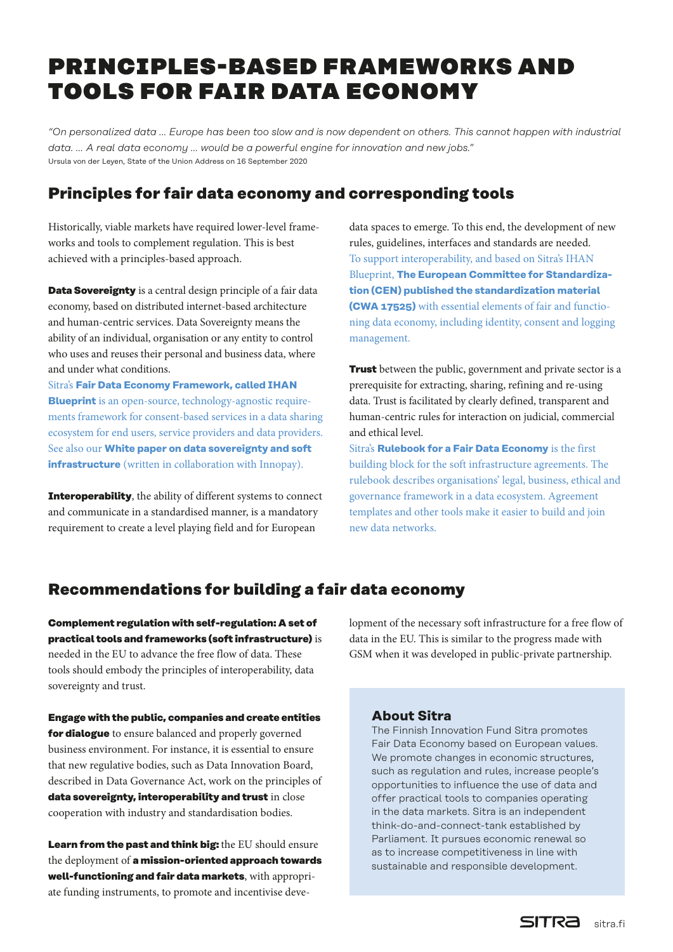# PRINCIPLES-BASED FRAMEWORKS AND TOOLS FOR FAIR DATA ECONOMY

*"On personalized data … Europe has been too slow and is now dependent on others. This cannot happen with industrial data. … A real data economy … would be a powerful engine for innovation and new jobs."* Ursula von der Leyen, State of the Union Address on 16 September 2020

### **Principles for fair data economy and corresponding tools**

Historically, viable markets have required lower-level frameworks and tools to complement regulation. This is best achieved with a principles-based approach.

**Data Sovereignty** is a central design principle of a fair data economy, based on distributed internet-based architecture and human-centric services. Data Sovereignty means the ability of an individual, organisation or any entity to control who uses and reuses their personal and business data, where and under what conditions.

Sitra's **[Fair Data Economy Framework, called IHAN](https://media.sitra.fi/2018/12/22091907/ihan-blueprint-2-5.pdf)  [Blueprint](https://media.sitra.fi/2018/12/22091907/ihan-blueprint-2-5.pdf)** is an open-source, technology-agnostic requirements framework for consent-based services in a data sharing ecosystem for end users, service providers and data providers. See also our **[White paper on data sovereignty and soft](https://www.innopay.com/en/news/white-paper-data-sovereignty-and-soft-infrastructures-are-key-enablers-next-phase-european)  [infrastructure](https://www.innopay.com/en/news/white-paper-data-sovereignty-and-soft-infrastructures-are-key-enablers-next-phase-european)** (written in collaboration with Innopay).

**Interoperability**, the ability of different systems to connect and communicate in a standardised manner, is a mandatory requirement to create a level playing field and for European

data spaces to emerge. To this end, the development of new rules, guidelines, interfaces and standards are needed. To support interoperability, and based on Sitra's IHAN Blueprint, **[The European Committee for Standardiza](https://www.sitra.fi/en/news/fair-data-economy-standardisation-is-proceeding/)[tion \(CEN\) published the standardization material](https://www.sitra.fi/en/news/fair-data-economy-standardisation-is-proceeding/)  [\(CWA 17525\)](https://www.sitra.fi/en/news/fair-data-economy-standardisation-is-proceeding/)** with essential elements of fair and functioning data economy, including identity, consent and logging management.

**Trust** between the public, government and private sector is a prerequisite for extracting, sharing, refining and re-using data. Trust is facilitated by clearly defined, transparent and human-centric rules for interaction on judicial, commercial and ethical level.

Sitra's **[Rulebook for a Fair Data Economy](https://www.sitra.fi/en/publications/rulebook-for-a-fair-data-economy/)** is the first building block for the soft infrastructure agreements. The rulebook describes organisations' legal, business, ethical and governance framework in a data ecosystem. Agreement templates and other tools make it easier to build and join new data networks.

## **Recommendations for building a fair data economy**

**Complement regulation with self-regulation: A set of practical tools and frameworks (soft infrastructure)** is needed in the EU to advance the free flow of data. These tools should embody the principles of interoperability, data sovereignty and trust.

lopment of the necessary soft infrastructure for a free flow of data in the EU. This is similar to the progress made with GSM when it was developed in public-private partnership.

**Engage with the public, companies and create entities for dialogue** to ensure balanced and properly governed business environment. For instance, it is essential to ensure that new regulative bodies, such as Data Innovation Board, described in Data Governance Act, work on the principles of **data sovereignty, interoperability and trust** in close cooperation with industry and standardisation bodies.

**Learn from the past and think big:** the EU should ensure the deployment of **a mission-oriented approach towards well-functioning and fair data markets**, with appropriate funding instruments, to promote and incentivise deve-

#### **About Sitra**

The Finnish Innovation Fund Sitra promotes Fair Data Economy based on European values. We promote changes in economic structures, such as regulation and rules, increase people's opportunities to influence the use of data and offer practical tools to companies operating in the data markets. Sitra is an independent think-do-and-connect-tank established by Parliament. It pursues economic renewal so as to increase competitiveness in line with sustainable and responsible development.